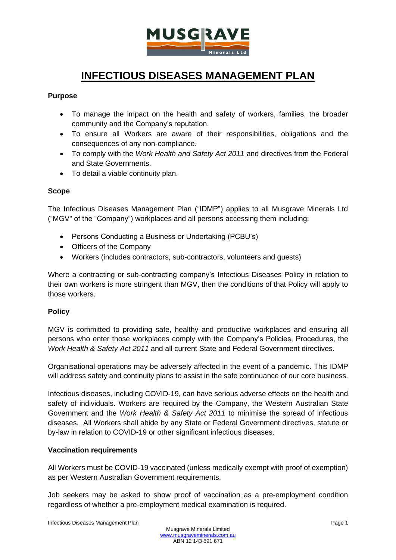

# **INFECTIOUS DISEASES MANAGEMENT PLAN**

# **Purpose**

- To manage the impact on the health and safety of workers, families, the broader community and the Company's reputation.
- To ensure all Workers are aware of their responsibilities, obligations and the consequences of any non-compliance.
- To comply with the *Work Health and Safety Act 2011* and directives from the Federal and State Governments.
- To detail a viable continuity plan.

# **Scope**

The Infectious Diseases Management Plan ("IDMP") applies to all Musgrave Minerals Ltd ("MGV" of the "Company") workplaces and all persons accessing them including:

- Persons Conducting a Business or Undertaking (PCBU's)
- Officers of the Company
- Workers (includes contractors, sub-contractors, volunteers and guests)

Where a contracting or sub-contracting company's Infectious Diseases Policy in relation to their own workers is more stringent than MGV, then the conditions of that Policy will apply to those workers.

# **Policy**

MGV is committed to providing safe, healthy and productive workplaces and ensuring all persons who enter those workplaces comply with the Company's Policies, Procedures, the *Work Health & Safety Act 2011* and all current State and Federal Government directives.

Organisational operations may be adversely affected in the event of a pandemic. This IDMP will address safety and continuity plans to assist in the safe continuance of our core business.

Infectious diseases, including COVID-19, can have serious adverse effects on the health and safety of individuals. Workers are required by the Company, the Western Australian State Government and the *Work Health & Safety Act 2011* to minimise the spread of infectious diseases. All Workers shall abide by any State or Federal Government directives, statute or by-law in relation to COVID-19 or other significant infectious diseases.

# **Vaccination requirements**

All Workers must be COVID-19 vaccinated (unless medically exempt with proof of exemption) as per Western Australian Government requirements.

Job seekers may be asked to show proof of vaccination as a pre-employment condition regardless of whether a pre-employment medical examination is required.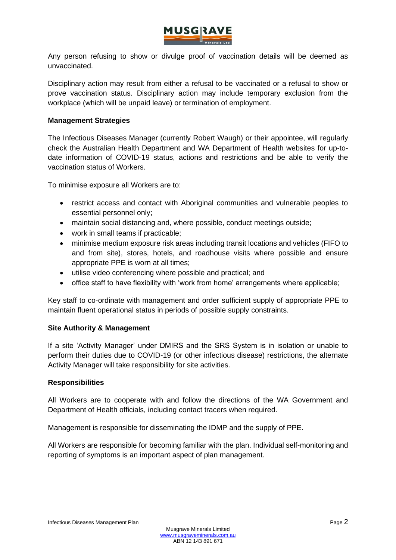

Any person refusing to show or divulge proof of vaccination details will be deemed as unvaccinated.

Disciplinary action may result from either a refusal to be vaccinated or a refusal to show or prove vaccination status. Disciplinary action may include temporary exclusion from the workplace (which will be unpaid leave) or termination of employment.

### **Management Strategies**

The Infectious Diseases Manager (currently Robert Waugh) or their appointee, will regularly check the Australian Health Department and WA Department of Health websites for up-todate information of COVID-19 status, actions and restrictions and be able to verify the vaccination status of Workers.

To minimise exposure all Workers are to:

- restrict access and contact with Aboriginal communities and vulnerable peoples to essential personnel only;
- maintain social distancing and, where possible, conduct meetings outside;
- work in small teams if practicable;
- minimise medium exposure risk areas including transit locations and vehicles (FIFO to and from site), stores, hotels, and roadhouse visits where possible and ensure appropriate PPE is worn at all times;
- utilise video conferencing where possible and practical; and
- office staff to have flexibility with 'work from home' arrangements where applicable;

Key staff to co-ordinate with management and order sufficient supply of appropriate PPE to maintain fluent operational status in periods of possible supply constraints.

# **Site Authority & Management**

If a site 'Activity Manager' under DMIRS and the SRS System is in isolation or unable to perform their duties due to COVID-19 (or other infectious disease) restrictions, the alternate Activity Manager will take responsibility for site activities.

### **Responsibilities**

All Workers are to cooperate with and follow the directions of the WA Government and Department of Health officials, including contact tracers when required.

Management is responsible for disseminating the IDMP and the supply of PPE.

All Workers are responsible for becoming familiar with the plan. Individual self-monitoring and reporting of symptoms is an important aspect of plan management.

#### Infectious Diseases Management Plan **Page 2** and the control of the control of the Page 2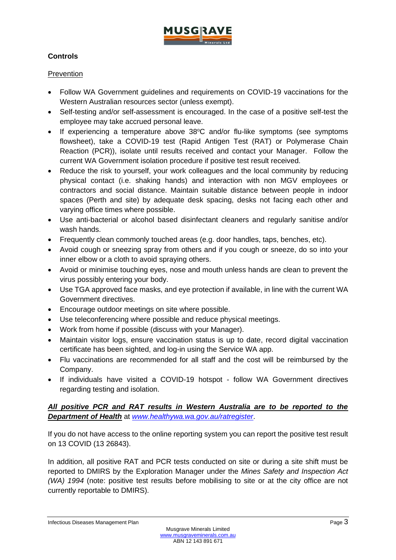

# **Controls**

# **Prevention**

- Follow WA Government guidelines and requirements on COVID-19 vaccinations for the Western Australian resources sector (unless exempt).
- Self-testing and/or self-assessment is encouraged. In the case of a positive self-test the employee may take accrued personal leave.
- If experiencing a temperature above 38°C and/or flu-like symptoms (see symptoms flowsheet), take a COVID-19 test (Rapid Antigen Test (RAT) or Polymerase Chain Reaction (PCR)), isolate until results received and contact your Manager. Follow the current WA Government isolation procedure if positive test result received.
- Reduce the risk to yourself, your work colleagues and the local community by reducing physical contact (i.e. shaking hands) and interaction with non MGV employees or contractors and social distance. Maintain suitable distance between people in indoor spaces (Perth and site) by adequate desk spacing, desks not facing each other and varying office times where possible.
- Use anti-bacterial or alcohol based disinfectant cleaners and regularly sanitise and/or wash hands.
- Frequently clean commonly touched areas (e.g. door handles, taps, benches, etc).
- Avoid cough or sneezing spray from others and if you cough or sneeze, do so into your inner elbow or a cloth to avoid spraying others.
- Avoid or minimise touching eyes, nose and mouth unless hands are clean to prevent the virus possibly entering your body.
- Use TGA approved face masks, and eye protection if available, in line with the current WA Government directives.
- Encourage outdoor meetings on site where possible.
- Use teleconferencing where possible and reduce physical meetings.
- Work from home if possible (discuss with your Manager).
- Maintain visitor logs, ensure vaccination status is up to date, record digital vaccination certificate has been sighted, and log-in using the Service WA app.
- Flu vaccinations are recommended for all staff and the cost will be reimbursed by the Company.
- If individuals have visited a COVID-19 hotspot follow WA Government directives regarding testing and isolation.

# *All positive PCR and RAT results in Western Australia are to be reported to the Department of Health* at *[www.healthywa.wa.gov.au/ratregister](http://www.healthywa.wa.gov.au/ratregister)*.

If you do not have access to the online reporting system you can report the positive test result on 13 COVID (13 26843).

In addition, all positive RAT and PCR tests conducted on site or during a site shift must be reported to DMIRS by the Exploration Manager under the *Mines Safety and Inspection Act (WA) 1994* (note: positive test results before mobilising to site or at the city office are not currently reportable to DMIRS).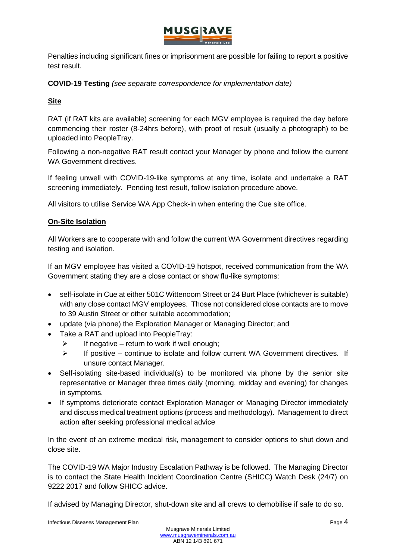

Penalties including significant fines or imprisonment are possible for failing to report a positive test result.

**COVID-19 Testing** *(see separate correspondence for implementation date)*

# **Site**

RAT (if RAT kits are available) screening for each MGV employee is required the day before commencing their roster (8-24hrs before), with proof of result (usually a photograph) to be uploaded into PeopleTray.

Following a non-negative RAT result contact your Manager by phone and follow the current WA Government directives

If feeling unwell with COVID-19-like symptoms at any time, isolate and undertake a RAT screening immediately. Pending test result, follow isolation procedure above.

All visitors to utilise Service WA App Check-in when entering the Cue site office.

# **On-Site Isolation**

All Workers are to cooperate with and follow the current WA Government directives regarding testing and isolation.

If an MGV employee has visited a COVID-19 hotspot, received communication from the WA Government stating they are a close contact or show flu-like symptoms:

- self-isolate in Cue at either 501C Wittenoom Street or 24 Burt Place (whichever is suitable) with any close contact MGV employees. Those not considered close contacts are to move to 39 Austin Street or other suitable accommodation;
- update (via phone) the Exploration Manager or Managing Director; and
- Take a RAT and upload into PeopleTray:
	- $\triangleright$  If negative return to work if well enough;
	- $\geq$  If positive continue to isolate and follow current WA Government directives. If unsure contact Manager.
- Self-isolating site-based individual(s) to be monitored via phone by the senior site representative or Manager three times daily (morning, midday and evening) for changes in symptoms.
- If symptoms deteriorate contact Exploration Manager or Managing Director immediately and discuss medical treatment options (process and methodology). Management to direct action after seeking professional medical advice

In the event of an extreme medical risk, management to consider options to shut down and close site.

The COVID-19 WA Major Industry Escalation Pathway is be followed. The Managing Director is to contact the State Health Incident Coordination Centre (SHICC) Watch Desk (24/7) on 9222 2017 and follow SHICC advice.

If advised by Managing Director, shut-down site and all crews to demobilise if safe to do so.